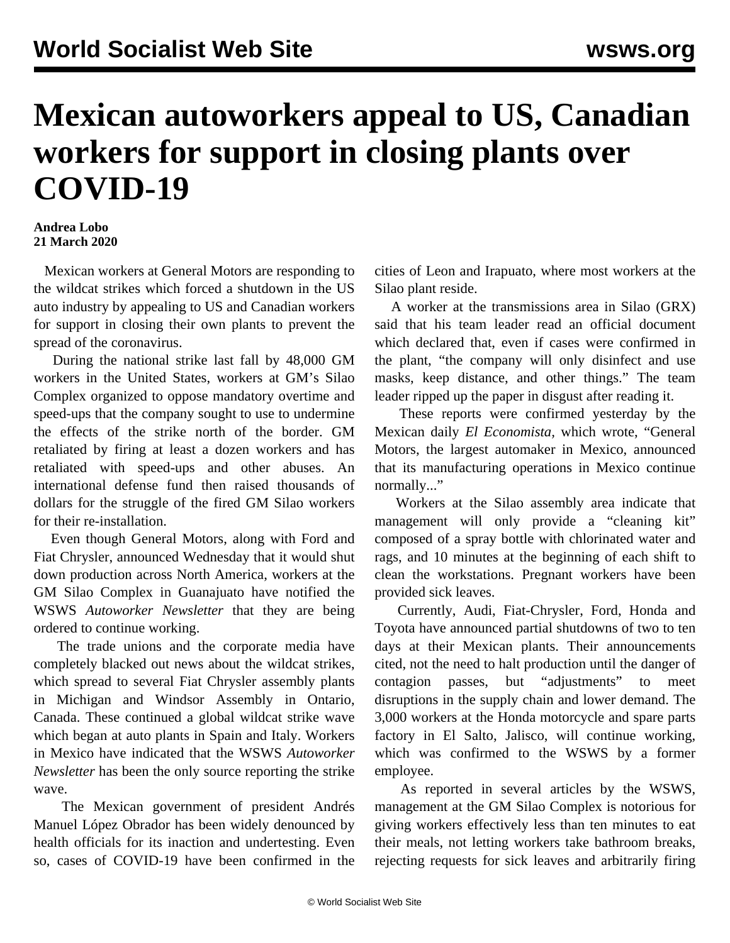## **Mexican autoworkers appeal to US, Canadian workers for support in closing plants over COVID-19**

## **Andrea Lobo 21 March 2020**

 Mexican workers at General Motors are responding to the wildcat strikes which forced a shutdown in the US auto industry by appealing to US and Canadian workers for support in closing their own plants to prevent the spread of the coronavirus.

 During the national strike last fall by 48,000 GM workers in the United States, workers at GM's Silao Complex organized to oppose mandatory overtime and speed-ups that the company sought to use to undermine the effects of the strike north of the border. GM retaliated by firing at least a dozen workers and has retaliated with speed-ups and other abuses. An international defense fund then [raised thousands](/en/articles/2019/12/27/sila-d27.html) of dollars for the struggle of the fired GM Silao workers for their re-installation.

 Even though General Motors, along with Ford and Fiat Chrysler, announced Wednesday that it would shut down production across North America, workers at the GM Silao Complex in Guanajuato have notified the WSWS *Autoworker Newsletter* that they are being ordered to continue working.

 The trade unions and the corporate media have completely [blacked out](/en/articles/2020/03/20/medi-m20.html) news about the wildcat strikes, which spread to several Fiat Chrysler assembly plants in Michigan and Windsor Assembly in Ontario, Canada. These continued a global wildcat strike wave which began at auto plants in Spain and Italy. Workers in Mexico have indicated that the WSWS *Autoworker Newsletter* has been the only source reporting the strike wave.

 The Mexican government of president Andrés Manuel López Obrador has been widely denounced by health officials for its inaction and undertesting. Even so, cases of COVID-19 have been confirmed in the cities of Leon and Irapuato, where most workers at the Silao plant reside.

 A worker at the transmissions area in Silao (GRX) said that his team leader read an official document which declared that, even if cases were confirmed in the plant, "the company will only disinfect and use masks, keep distance, and other things." The team leader ripped up the paper in disgust after reading it.

 These reports were confirmed yesterday by the Mexican daily *El Economista,* which wrote, "General Motors, the largest automaker in Mexico, announced that its manufacturing operations in Mexico continue normally..."

 Workers at the Silao assembly area indicate that management will only provide a "cleaning kit" composed of a spray bottle with chlorinated water and rags, and 10 minutes at the beginning of each shift to clean the workstations. Pregnant workers have been provided sick leaves.

 Currently, Audi, Fiat-Chrysler, Ford, Honda and Toyota have announced partial shutdowns of two to ten days at their Mexican plants. Their announcements cited, not the need to halt production until the danger of contagion passes, but "adjustments" to meet disruptions in the supply chain and lower demand. The 3,000 workers at the Honda motorcycle and spare parts factory in El Salto, Jalisco, will continue working, which was confirmed to the WSWS by a former employee.

 As reported in several articles by the WSWS, management at the GM Silao Complex is notorious for giving workers effectively less than ten minutes to eat their meals, not letting workers take bathroom breaks, rejecting requests for sick leaves and arbitrarily firing